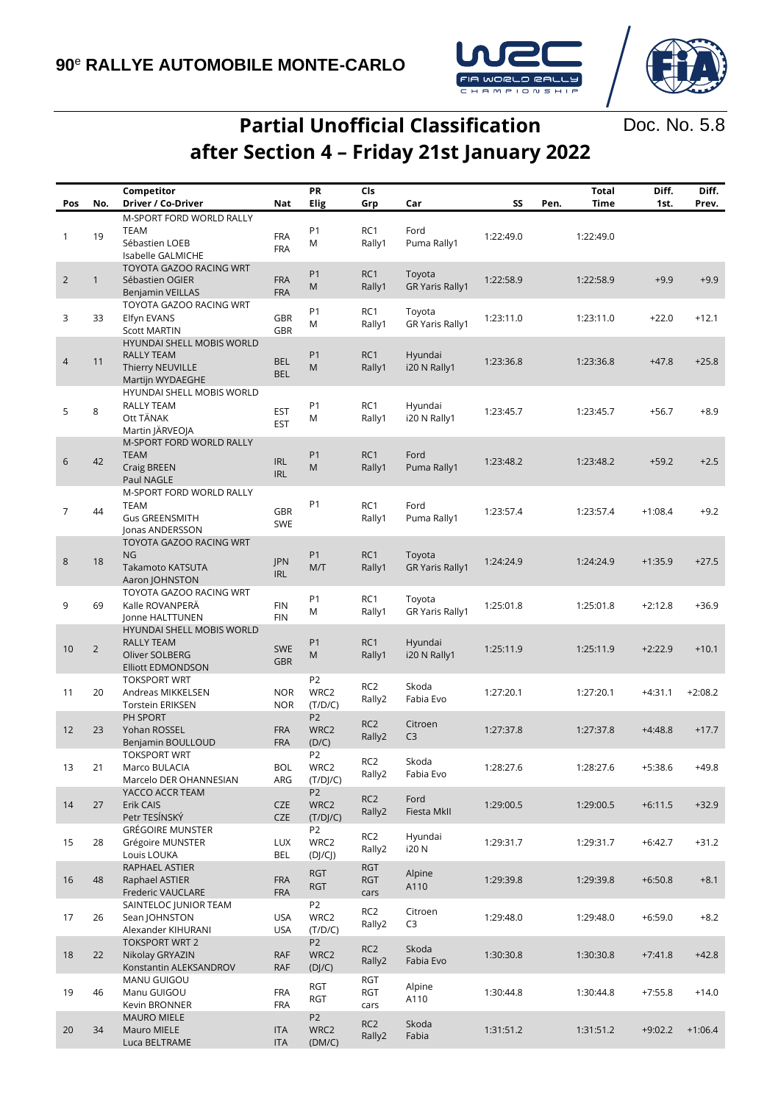

Doc. No. 5.8

## **Partial Unofficial Classification after Section 4 – Friday 21st January 2022**

|                |                | Competitor                                                              |                          | PR                                 | Cls                       |                                  | SS        |      | <b>Total</b> | Diff.     | Diff.     |
|----------------|----------------|-------------------------------------------------------------------------|--------------------------|------------------------------------|---------------------------|----------------------------------|-----------|------|--------------|-----------|-----------|
| Pos            | No.            | Driver / Co-Driver                                                      | Nat                      | Elig                               | Grp                       | Car                              |           | Pen. | Time         | 1st.      | Prev.     |
| 1              | 19             | M-SPORT FORD WORLD RALLY<br><b>TEAM</b>                                 | <b>FRA</b>               | P <sub>1</sub>                     | RC1                       | Ford                             | 1:22:49.0 |      | 1:22:49.0    |           |           |
|                |                | Sébastien LOEB<br>Isabelle GALMICHE<br>TOYOTA GAZOO RACING WRT          | <b>FRA</b>               | M                                  | Rally1                    | Puma Rally1                      |           |      |              |           |           |
| $\overline{2}$ | $\mathbf{1}$   | Sébastien OGIER<br><b>Benjamin VEILLAS</b>                              | <b>FRA</b><br><b>FRA</b> | P <sub>1</sub><br>M                | RC1<br>Rally1             | Toyota<br><b>GR Yaris Rally1</b> | 1:22:58.9 |      | 1:22:58.9    | $+9.9$    | $+9.9$    |
| 3              | 33             | TOYOTA GAZOO RACING WRT<br>Elfyn EVANS<br><b>Scott MARTIN</b>           | GBR<br><b>GBR</b>        | P <sub>1</sub><br>M                | RC1<br>Rally1             | Toyota<br><b>GR Yaris Rally1</b> | 1:23:11.0 |      | 1:23:11.0    | $+22.0$   | $+12.1$   |
| 4              | 11             | <b>HYUNDAI SHELL MOBIS WORLD</b><br><b>RALLY TEAM</b>                   | <b>BEL</b>               | P <sub>1</sub>                     | RC1                       | Hyundai                          | 1:23:36.8 |      | 1:23:36.8    | $+47.8$   | $+25.8$   |
|                |                | Thierry NEUVILLE<br>Martijn WYDAEGHE<br>HYUNDAI SHELL MOBIS WORLD       | <b>BEL</b>               | M                                  | Rally1                    | i20 N Rally1                     |           |      |              |           |           |
| 5              | 8              | RALLY TEAM<br>Ott TÄNAK<br>Martin JÄRVEOJA                              | <b>EST</b><br><b>EST</b> | P <sub>1</sub><br>M                | RC1<br>Rally1             | Hyundai<br>i20 N Rally1          | 1:23:45.7 |      | 1:23:45.7    | $+56.7$   | $+8.9$    |
| 6              | 42             | M-SPORT FORD WORLD RALLY<br><b>TEAM</b><br><b>Craig BREEN</b>           | <b>IRL</b>               | P <sub>1</sub><br>M                | RC1<br>Rally1             | Ford<br>Puma Rally1              | 1:23:48.2 |      | 1:23:48.2    | $+59.2$   | $+2.5$    |
|                |                | Paul NAGLE<br>M-SPORT FORD WORLD RALLY                                  | <b>IRL</b>               |                                    |                           |                                  |           |      |              |           |           |
| 7              | 44             | <b>TEAM</b><br><b>Gus GREENSMITH</b><br>Jonas ANDERSSON                 | <b>GBR</b><br>SWE        | P <sub>1</sub>                     | RC1<br>Rally1             | Ford<br>Puma Rally1              | 1:23:57.4 |      | 1:23:57.4    | $+1:08.4$ | $+9.2$    |
| 8              | 18             | TOYOTA GAZOO RACING WRT<br>NG<br>Takamoto KATSUTA<br>Aaron JOHNSTON     | JPN<br><b>IRL</b>        | P <sub>1</sub><br>M/T              | RC1<br>Rally1             | Toyota<br><b>GR Yaris Rally1</b> | 1:24:24.9 |      | 1:24:24.9    | $+1:35.9$ | $+27.5$   |
| 9              | 69             | TOYOTA GAZOO RACING WRT<br>Kalle ROVANPERA<br>Jonne HALTTUNEN           | <b>FIN</b><br><b>FIN</b> | P <sub>1</sub><br>M                | RC1<br>Rally1             | Toyota<br><b>GR Yaris Rally1</b> | 1:25:01.8 |      | 1:25:01.8    | $+2:12.8$ | $+36.9$   |
| 10             | $\overline{2}$ | <b>HYUNDAI SHELL MOBIS WORLD</b><br><b>RALLY TEAM</b><br>Oliver SOLBERG | <b>SWE</b><br><b>GBR</b> | P <sub>1</sub><br>M                | RC1<br>Rally1             | Hyundai<br>i20 N Rally1          | 1:25:11.9 |      | 1:25:11.9    | $+2:22.9$ | $+10.1$   |
| 11             | 20             | <b>Elliott EDMONDSON</b><br><b>TOKSPORT WRT</b><br>Andreas MIKKELSEN    | <b>NOR</b>               | P <sub>2</sub><br>WRC2             | RC <sub>2</sub><br>Rally2 | Skoda<br>Fabia Evo               | 1:27:20.1 |      | 1:27:20.1    | $+4:31.1$ | $+2:08.2$ |
|                |                | <b>Torstein ERIKSEN</b><br>PH SPORT                                     | <b>NOR</b>               | (T/D/C)<br>P <sub>2</sub>          | RC <sub>2</sub>           |                                  |           |      |              |           |           |
| 12             | 23             | Yohan ROSSEL<br>Benjamin BOULLOUD                                       | <b>FRA</b><br><b>FRA</b> | WRC2<br>(D/C)<br>P <sub>2</sub>    | Rally2                    | Citroen<br>C <sub>3</sub>        | 1:27:37.8 |      | 1:27:37.8    | $+4:48.8$ | $+17.7$   |
| 13             | 21             | <b>TOKSPORT WRT</b><br>Marco BULACIA<br>Marcelo DER OHANNESIAN          | BOL<br>ARG               | WRC2<br>(T/DJ/C)                   | RC <sub>2</sub><br>Rally2 | Skoda<br>Fabia Evo               | 1:28:27.6 |      | 1:28:27.6    | $+5:38.6$ | $+49.8$   |
| 14             | 27             | YACCO ACCR TEAM<br>Erik CAIS<br>Petr TESÍNSKÝ                           | CZE<br>CZE               | P <sub>2</sub><br>WRC2<br>(T/DJ/C) | RC <sub>2</sub><br>Rally2 | Ford<br>Fiesta MkII              | 1:29:00.5 |      | 1:29:00.5    | $+6:11.5$ | $+32.9$   |
| 15             | 28             | <b>GRÉGOIRE MUNSTER</b><br>Grégoire MUNSTER<br>Louis LOUKA              | <b>LUX</b><br>BEL        | P <sub>2</sub><br>WRC2<br>(DJ/CJ)  | RC2<br>Rally2             | Hyundai<br>i20 N                 | 1:29:31.7 |      | 1:29:31.7    | $+6:42.7$ | $+31.2$   |
| 16             | 48             | RAPHAEL ASTIER<br>Raphael ASTIER                                        | <b>FRA</b>               | <b>RGT</b><br><b>RGT</b>           | <b>RGT</b><br><b>RGT</b>  | Alpine<br>A110                   | 1:29:39.8 |      | 1:29:39.8    | $+6:50.8$ | $+8.1$    |
| 17             | 26             | Frederic VAUCLARE<br>SAINTELOC JUNIOR TEAM<br>Sean JOHNSTON             | <b>FRA</b><br><b>USA</b> | P <sub>2</sub><br>WRC2             | cars<br>RC <sub>2</sub>   | Citroen                          | 1:29:48.0 |      | 1:29:48.0    | $+6:59.0$ | $+8.2$    |
|                |                | Alexander KIHURANI<br><b>TOKSPORT WRT 2</b>                             | <b>USA</b>               | (T/D/C)<br>P <sub>2</sub>          | Rally2<br>RC <sub>2</sub> | C <sub>3</sub><br>Skoda          |           |      |              |           |           |
| 18             | 22             | Nikolay GRYAZIN<br>Konstantin ALEKSANDROV                               | <b>RAF</b><br>RAF        | WRC2<br>(DJ/C)                     | Rally2                    | Fabia Evo                        | 1:30:30.8 |      | 1:30:30.8    | $+7:41.8$ | $+42.8$   |
| 19             | 46             | MANU GUIGOU<br>Manu GUIGOU<br>Kevin BRONNER                             | <b>FRA</b><br><b>FRA</b> | RGT<br>RGT                         | RGT<br>RGT<br>cars        | Alpine<br>A110                   | 1:30:44.8 |      | 1:30:44.8    | $+7:55.8$ | $+14.0$   |
| 20             | 34             | <b>MAURO MIELE</b><br>Mauro MIELE<br>Luca BELTRAME                      | <b>ITA</b><br><b>ITA</b> | P <sub>2</sub><br>WRC2<br>(DM/C)   | RC <sub>2</sub><br>Rally2 | Skoda<br>Fabia                   | 1:31:51.2 |      | 1:31:51.2    | $+9:02.2$ | $+1:06.4$ |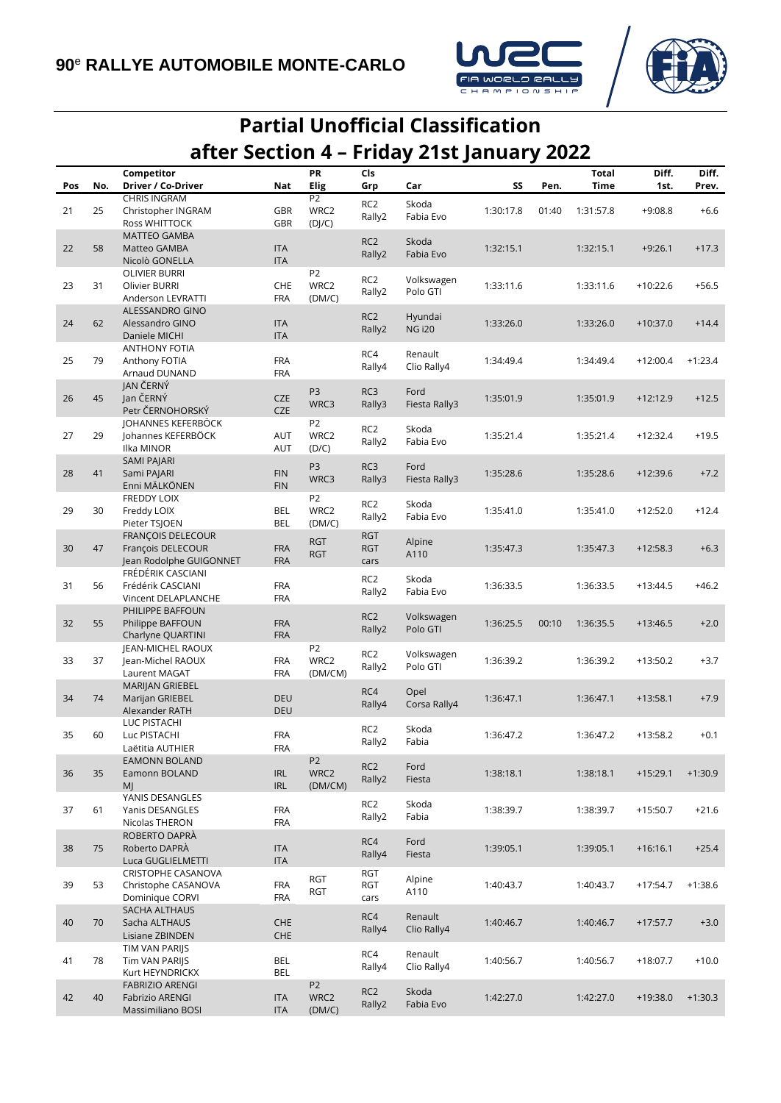



## **Partial Unofficial Classification after Section 4 – Friday 21st January 2022**

|     |     | Competitor                             |                          | PR                     | Cls                       |                        |           |       | <b>Total</b> | Diff.      | Diff.     |
|-----|-----|----------------------------------------|--------------------------|------------------------|---------------------------|------------------------|-----------|-------|--------------|------------|-----------|
| Pos | No. | Driver / Co-Driver                     | Nat                      | <b>Elig</b>            | Grp                       | Car                    | SS        | Pen.  | Time         | 1st.       | Prev.     |
|     |     | <b>CHRIS INGRAM</b>                    |                          | P <sub>2</sub><br>WRC2 | RC <sub>2</sub>           | Skoda                  |           |       |              |            |           |
| 21  | 25  | Christopher INGRAM                     | <b>GBR</b>               |                        | Rally2                    | Fabia Evo              | 1:30:17.8 | 01:40 | 1:31:57.8    | $+9:08.8$  | $+6.6$    |
|     |     | Ross WHITTOCK<br><b>MATTEO GAMBA</b>   | <b>GBR</b>               | (D]/C)                 |                           |                        |           |       |              |            |           |
| 22  | 58  | Matteo GAMBA                           | <b>ITA</b>               |                        | RC <sub>2</sub>           | Skoda                  | 1:32:15.1 |       | 1:32:15.1    | $+9:26.1$  | $+17.3$   |
|     |     | Nicolò GONELLA                         | <b>ITA</b>               |                        | Rally2                    | Fabia Evo              |           |       |              |            |           |
|     |     | <b>OLIVIER BURRI</b>                   |                          | P <sub>2</sub>         |                           |                        |           |       |              |            |           |
| 23  | 31  | Olivier BURRI                          | <b>CHE</b>               | WRC2                   | RC <sub>2</sub><br>Rally2 | Volkswagen<br>Polo GTI | 1:33:11.6 |       | 1:33:11.6    | $+10:22.6$ | $+56.5$   |
|     |     | Anderson LEVRATTI                      | <b>FRA</b>               | (DM/C)                 |                           |                        |           |       |              |            |           |
|     |     | ALESSANDRO GINO                        |                          |                        | RC <sub>2</sub>           | Hyundai                |           |       |              |            |           |
| 24  | 62  | Alessandro GINO                        | <b>ITA</b>               |                        | Rally2                    | <b>NG i20</b>          | 1:33:26.0 |       | 1:33:26.0    | $+10:37.0$ | $+14.4$   |
|     |     | Daniele MICHI<br><b>ANTHONY FOTIA</b>  | <b>ITA</b>               |                        |                           |                        |           |       |              |            |           |
| 25  | 79  | Anthony FOTIA                          | <b>FRA</b>               |                        | RC4                       | Renault                | 1:34:49.4 |       | 1:34:49.4    | $+12:00.4$ | $+1:23.4$ |
|     |     | Arnaud DUNAND                          | <b>FRA</b>               |                        | Rally4                    | Clio Rally4            |           |       |              |            |           |
|     |     | JAN ČERNÝ                              |                          |                        |                           |                        |           |       |              |            |           |
| 26  | 45  | Jan ČERNÝ                              | <b>CZE</b>               | P <sub>3</sub>         | RC3                       | Ford                   | 1:35:01.9 |       | 1:35:01.9    | $+12:12.9$ | $+12.5$   |
|     |     | Petr ČERNOHORSKÝ                       | <b>CZE</b>               | WRC3                   | Rally3                    | Fiesta Rally3          |           |       |              |            |           |
|     |     | JOHANNES KEFERBÖCK                     |                          | P <sub>2</sub>         | RC <sub>2</sub>           | Skoda                  |           |       |              |            |           |
| 27  | 29  | Johannes KEFERBÖCK                     | AUT                      | WRC2                   | Rally2                    | Fabia Evo              | 1:35:21.4 |       | 1:35:21.4    | +12:32.4   | $+19.5$   |
|     |     | Ilka MINOR                             | AUT                      | (D/C)                  |                           |                        |           |       |              |            |           |
|     | 41  | <b>SAMI PAJARI</b>                     | <b>FIN</b>               | P3                     | RC3                       | Ford                   |           |       |              | $+12:39.6$ |           |
| 28  |     | Sami PAJARI<br>Enni MÄLKÖNEN           | <b>FIN</b>               | WRC3                   | Rally3                    | Fiesta Rally3          | 1:35:28.6 |       | 1:35:28.6    |            | $+7.2$    |
|     |     | <b>FREDDY LOIX</b>                     |                          | P <sub>2</sub>         |                           |                        |           |       |              |            |           |
| 29  | 30  | Freddy LOIX                            | BEL                      | WRC2                   | RC <sub>2</sub>           | Skoda                  | 1:35:41.0 |       | 1:35:41.0    | $+12:52.0$ | $+12.4$   |
|     |     | Pieter TSJOEN                          | <b>BEL</b>               | (DM/C)                 | Rally2                    | Fabia Evo              |           |       |              |            |           |
|     |     | <b>FRANÇOIS DELECOUR</b>               |                          | <b>RGT</b>             | <b>RGT</b>                | Alpine                 |           |       |              |            |           |
| 30  | 47  | François DELECOUR                      | <b>FRA</b>               | <b>RGT</b>             | <b>RGT</b>                | A110                   | 1:35:47.3 |       | 1:35:47.3    | $+12:58.3$ | $+6.3$    |
|     |     | Jean Rodolphe GUIGONNET                | <b>FRA</b>               |                        | cars                      |                        |           |       |              |            |           |
| 31  | 56  | FRÉDÉRIK CASCIANI<br>Frédérik CASCIANI | <b>FRA</b>               |                        | RC <sub>2</sub>           | Skoda                  | 1:36:33.5 |       | 1:36:33.5    | $+13:44.5$ | $+46.2$   |
|     |     | Vincent DELAPLANCHE                    | <b>FRA</b>               |                        | Rally2                    | Fabia Evo              |           |       |              |            |           |
|     |     | PHILIPPE BAFFOUN                       |                          |                        |                           |                        |           |       |              |            |           |
| 32  | 55  | Philippe BAFFOUN                       | <b>FRA</b>               |                        | RC <sub>2</sub>           | Volkswagen             | 1:36:25.5 | 00:10 | 1:36:35.5    | $+13:46.5$ | $+2.0$    |
|     |     | Charlyne QUARTINI                      | <b>FRA</b>               |                        | Rally2                    | Polo GTI               |           |       |              |            |           |
|     |     | JEAN-MICHEL RAOUX                      |                          | P <sub>2</sub>         | RC <sub>2</sub>           | Volkswagen             |           |       |              |            |           |
| 33  | 37  | lean-Michel RAOUX                      | <b>FRA</b>               | WRC2                   | Rally2                    | Polo GTI               | 1:36:39.2 |       | 1:36:39.2    | $+13:50.2$ | $+3.7$    |
|     |     | Laurent MAGAT                          | <b>FRA</b>               | (DM/CM)                |                           |                        |           |       |              |            |           |
|     |     | MARIJAN GRIEBEL                        |                          |                        | RC4                       | Opel                   |           |       |              |            |           |
| 34  | 74  | Marijan GRIEBEL<br>Alexander RATH      | <b>DEU</b><br><b>DEU</b> |                        | Rally4                    | Corsa Rally4           | 1:36:47.1 |       | 1:36:47.1    | $+13:58.1$ | $+7.9$    |
|     |     | LUC PISTACHI                           |                          |                        |                           |                        |           |       |              |            |           |
| 35  | 60  | Luc PISTACHI                           | <b>FRA</b>               |                        | RC <sub>2</sub>           | Skoda                  | 1:36:47.2 |       | 1:36:47.2    | $+13:58.2$ | $+0.1$    |
|     |     | Laëtitia AUTHIER                       | <b>FRA</b>               |                        | Rally2                    | Fabia                  |           |       |              |            |           |
|     |     | <b>EAMONN BOLAND</b>                   |                          | P <sub>2</sub>         | RC <sub>2</sub>           | Ford                   |           |       |              |            |           |
| 36  | 35  | Eamonn BOLAND                          | <b>IRL</b>               | WRC2                   | Rally2                    | Fiesta                 | 1:38:18.1 |       | 1:38:18.1    | $+15:29.1$ | $+1:30.9$ |
|     |     | MJ                                     | <b>IRL</b>               | (DM/CM)                |                           |                        |           |       |              |            |           |
| 37  | 61  | YANIS DESANGLES<br>Yanis DESANGLES     | <b>FRA</b>               |                        | RC <sub>2</sub>           | Skoda                  | 1:38:39.7 |       | 1:38:39.7    | $+15:50.7$ | $+21.6$   |
|     |     | Nicolas THERON                         | <b>FRA</b>               |                        | Rally2                    | Fabia                  |           |       |              |            |           |
|     |     | ROBERTO DAPRÀ                          |                          |                        |                           |                        |           |       |              |            |           |
| 38  | 75  | Roberto DAPRÀ                          | <b>ITA</b>               |                        | RC4                       | Ford                   | 1:39:05.1 |       | 1:39:05.1    | $+16:16.1$ | $+25.4$   |
|     |     | Luca GUGLIELMETTI                      | <b>ITA</b>               |                        | Rally4                    | Fiesta                 |           |       |              |            |           |
|     |     | CRISTOPHE CASANOVA                     |                          | RGT                    | RGT                       | Alpine                 |           |       |              |            |           |
| 39  | 53  | Christophe CASANOVA                    | <b>FRA</b>               | RGT                    | RGT                       | A110                   | 1:40:43.7 |       | 1:40:43.7    | $+17:54.7$ | $+1:38.6$ |
|     |     | Dominique CORVI                        | <b>FRA</b>               |                        | cars                      |                        |           |       |              |            |           |
| 40  | 70  | SACHA ALTHAUS<br>Sacha ALTHAUS         | <b>CHE</b>               |                        | RC4                       | Renault                | 1:40:46.7 |       | 1:40:46.7    | $+17:57.7$ | $+3.0$    |
|     |     | Lisiane ZBINDEN                        | <b>CHE</b>               |                        | Rally4                    | Clio Rally4            |           |       |              |            |           |
|     |     | TIM VAN PARIJS                         |                          |                        |                           |                        |           |       |              |            |           |
| 41  | 78  | Tim VAN PARIJS                         | BEL                      |                        | RC4                       | Renault                | 1:40:56.7 |       | 1:40:56.7    | $+18:07.7$ | $+10.0$   |
|     |     | Kurt HEYNDRICKX                        | <b>BEL</b>               |                        | Rally4                    | Clio Rally4            |           |       |              |            |           |
|     |     | <b>FABRIZIO ARENGI</b>                 |                          | P <sub>2</sub>         | RC <sub>2</sub>           | Skoda                  |           |       |              |            |           |
| 42  | 40  | Fabrizio ARENGI                        | <b>ITA</b>               | WRC2                   | Rally2                    | Fabia Evo              | 1:42:27.0 |       | 1:42:27.0    | $+19:38.0$ | $+1:30.3$ |
|     |     | Massimiliano BOSI                      | <b>ITA</b>               | (DM/C)                 |                           |                        |           |       |              |            |           |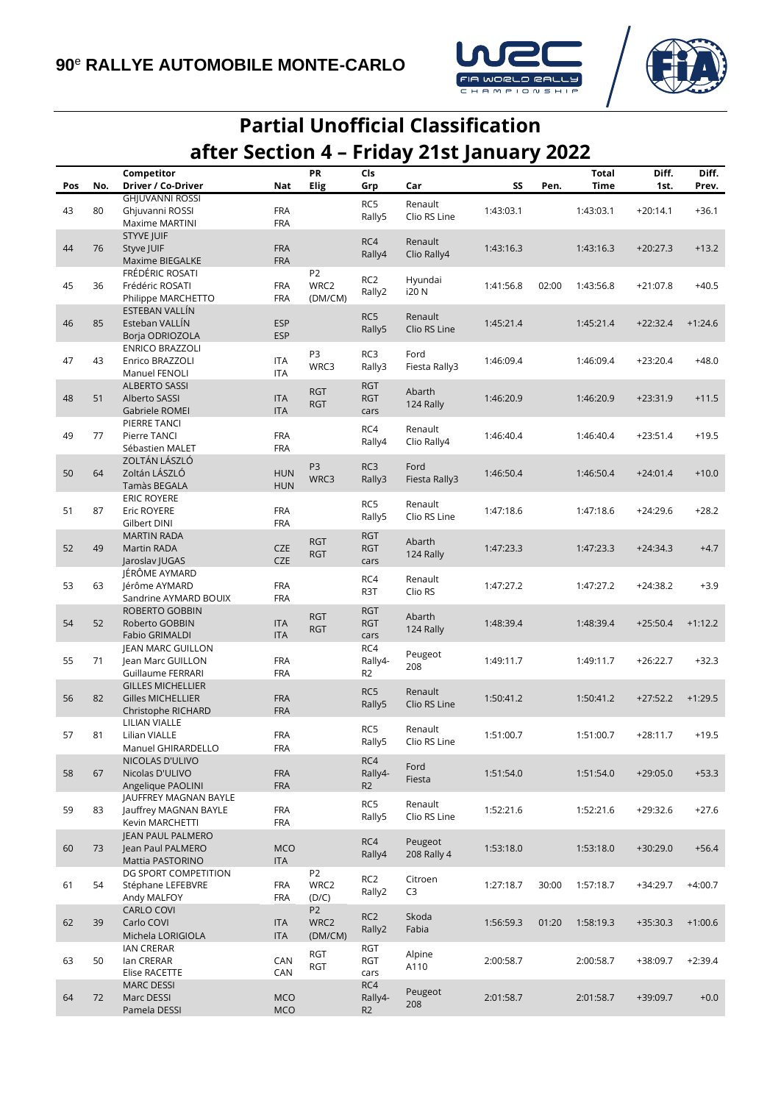



## **Partial Unofficial Classification after Section 4 – Friday 21st January 2022**

|     |     | Competitor                               |                          | PR             | Cls                      |                        |           |       | <b>Total</b> | Diff.      | Diff.     |
|-----|-----|------------------------------------------|--------------------------|----------------|--------------------------|------------------------|-----------|-------|--------------|------------|-----------|
| Pos | No. | Driver / Co-Driver                       | Nat                      | Elig           | Grp                      | Car                    | SS        | Pen.  | Time         | 1st.       | Prev.     |
|     |     | <b>GHJUVANNI ROSSI</b>                   |                          |                | RC5                      | Renault                |           |       |              |            |           |
| 43  | 80  | Ghjuvanni ROSSI                          | <b>FRA</b>               |                | Rally5                   | Clio RS Line           | 1:43:03.1 |       | 1:43:03.1    | $+20:14.1$ | $+36.1$   |
|     |     | Maxime MARTINI                           | <b>FRA</b>               |                |                          |                        |           |       |              |            |           |
|     |     | <b>STYVE JUIF</b>                        |                          |                | RC4                      | Renault                |           |       |              |            |           |
| 44  | 76  | Styve JUIF                               | <b>FRA</b>               |                | Rally4                   | Clio Rally4            | 1:43:16.3 |       | 1:43:16.3    | $+20:27.3$ | $+13.2$   |
|     |     | Maxime BIEGALKE                          | <b>FRA</b>               |                |                          |                        |           |       |              |            |           |
|     |     | FRÉDÉRIC ROSATI                          |                          | P <sub>2</sub> | RC2                      | Hyundai                |           |       |              |            |           |
| 45  | 36  | Frédéric ROSATI                          | <b>FRA</b>               | WRC2           | Rally2                   | i20 N                  | 1:41:56.8 | 02:00 | 1:43:56.8    | $+21:07.8$ | $+40.5$   |
|     |     | Philippe MARCHETTO<br>ESTEBAN VALLÍN     | <b>FRA</b>               | (DM/CM)        |                          |                        |           |       |              |            |           |
| 46  | 85  | Esteban VALLÍN                           | <b>ESP</b>               |                | RC5                      | Renault                | 1:45:21.4 |       | 1:45:21.4    | $+22:32.4$ | $+1:24.6$ |
|     |     | Borja ODRIOZOLA                          | <b>ESP</b>               |                | Rally5                   | Clio RS Line           |           |       |              |            |           |
|     |     | <b>ENRICO BRAZZOLI</b>                   |                          |                |                          |                        |           |       |              |            |           |
| 47  | 43  | Enrico BRAZZOLI                          | <b>ITA</b>               | P <sub>3</sub> | RC3                      | Ford                   | 1:46:09.4 |       | 1:46:09.4    | $+23:20.4$ | $+48.0$   |
|     |     | Manuel FENOLI                            | ITA                      | WRC3           | Rally3                   | Fiesta Rally3          |           |       |              |            |           |
|     |     | ALBERTO SASSI                            |                          |                | <b>RGT</b>               |                        |           |       |              |            |           |
| 48  | 51  | Alberto SASSI                            | <b>ITA</b>               | <b>RGT</b>     | <b>RGT</b>               | Abarth                 | 1:46:20.9 |       | 1:46:20.9    | $+23:31.9$ | $+11.5$   |
|     |     | Gabriele ROMEI                           | ITA                      | <b>RGT</b>     | cars                     | 124 Rally              |           |       |              |            |           |
|     |     | PIERRE TANCI                             |                          |                | RC4                      |                        |           |       |              |            |           |
| 49  | 77  | Pierre TANCI                             | <b>FRA</b>               |                | Rally4                   | Renault<br>Clio Rally4 | 1:46:40.4 |       | 1:46:40.4    | $+23:51.4$ | $+19.5$   |
|     |     | Sébastien MALET                          | <b>FRA</b>               |                |                          |                        |           |       |              |            |           |
|     |     | ZOLTÁN LÁSZLÓ                            |                          | P <sub>3</sub> | RC3                      | Ford                   |           |       |              |            |           |
| 50  | 64  | Zoltán LÁSZLÓ                            | <b>HUN</b>               | WRC3           | Rally3                   | Fiesta Rally3          | 1:46:50.4 |       | 1:46:50.4    | $+24:01.4$ | $+10.0$   |
|     |     | Tamàs BEGALA                             | <b>HUN</b>               |                |                          |                        |           |       |              |            |           |
|     |     | <b>ERIC ROYERE</b>                       |                          |                | RC5                      | Renault                |           |       |              |            |           |
| 51  | 87  | Eric ROYERE                              | <b>FRA</b>               |                | Rally5                   | Clio RS Line           | 1:47:18.6 |       | 1:47:18.6    | $+24:29.6$ | $+28.2$   |
|     |     | Gilbert DINI                             | <b>FRA</b>               |                |                          |                        |           |       |              |            |           |
| 52  | 49  | <b>MARTIN RADA</b><br><b>Martin RADA</b> | <b>CZE</b>               | <b>RGT</b>     | <b>RGT</b><br><b>RGT</b> | Abarth                 |           |       |              |            | $+4.7$    |
|     |     | Jaroslav JUGAS                           | <b>CZE</b>               | <b>RGT</b>     | cars                     | 124 Rally              | 1:47:23.3 |       | 1:47:23.3    | $+24:34.3$ |           |
|     |     | JÉRÔME AYMARD                            |                          |                |                          |                        |           |       |              |            |           |
| 53  | 63  | Jérôme AYMARD                            | <b>FRA</b>               |                | RC4                      | Renault                | 1:47:27.2 |       | 1:47:27.2    | $+24:38.2$ | $+3.9$    |
|     |     | Sandrine AYMARD BOUIX                    | <b>FRA</b>               |                | R3T                      | Clio RS                |           |       |              |            |           |
|     |     | ROBERTO GOBBIN                           |                          |                | <b>RGT</b>               |                        |           |       |              |            |           |
| 54  | 52  | Roberto GOBBIN                           | <b>ITA</b>               | <b>RGT</b>     | <b>RGT</b>               | Abarth                 | 1:48:39.4 |       | 1:48:39.4    | $+25:50.4$ | $+1:12.2$ |
|     |     | <b>Fabio GRIMALDI</b>                    | <b>ITA</b>               | <b>RGT</b>     | cars                     | 124 Rally              |           |       |              |            |           |
|     |     | JEAN MARC GUILLON                        |                          |                | RC4                      |                        |           |       |              |            |           |
| 55  | 71  | Jean Marc GUILLON                        | <b>FRA</b>               |                | Rally4-                  | Peugeot<br>208         | 1:49:11.7 |       | 1:49:11.7    | $+26:22.7$ | $+32.3$   |
|     |     | Guillaume FERRARI                        | <b>FRA</b>               |                | R <sub>2</sub>           |                        |           |       |              |            |           |
|     |     | <b>GILLES MICHELLIER</b>                 |                          |                | RC5                      | Renault                |           |       |              |            |           |
| 56  | 82  | <b>Gilles MICHELLIER</b>                 | <b>FRA</b>               |                | Rally5                   | Clio RS Line           | 1:50:41.2 |       | 1:50:41.2    | $+27:52.2$ | $+1:29.5$ |
|     |     | Christophe RICHARD                       | <b>FRA</b>               |                |                          |                        |           |       |              |            |           |
|     |     | LILIAN VIALLE                            |                          |                | RC5                      | Renault                |           |       |              |            |           |
| 57  | 81  | Lilian VIALLE<br>Manuel GHIRARDELLO      | <b>FRA</b><br><b>FRA</b> |                | Rally5                   | Clio RS Line           | 1:51:00.7 |       | 1:51:00.7    | $+28:11.7$ | $+19.5$   |
|     |     | NICOLAS D'ULIVO                          |                          |                | RC4                      |                        |           |       |              |            |           |
| 58  | 67  | Nicolas D'ULIVO                          | <b>FRA</b>               |                | Rally4-                  | Ford                   | 1:51:54.0 |       | 1:51:54.0    | $+29:05.0$ | $+53.3$   |
|     |     | Angelique PAOLINI                        | <b>FRA</b>               |                | R <sub>2</sub>           | Fiesta                 |           |       |              |            |           |
|     |     | JAUFFREY MAGNAN BAYLE                    |                          |                |                          |                        |           |       |              |            |           |
| 59  | 83  | Jauffrey MAGNAN BAYLE                    | <b>FRA</b>               |                | RC5                      | Renault                | 1:52:21.6 |       | 1:52:21.6    | $+29:32.6$ | $+27.6$   |
|     |     | Kevin MARCHETTI                          | <b>FRA</b>               |                | Rally5                   | Clio RS Line           |           |       |              |            |           |
|     |     | JEAN PAUL PALMERO                        |                          |                |                          |                        |           |       |              |            |           |
| 60  | 73  | Jean Paul PALMERO                        | <b>MCO</b>               |                | RC4<br>Rally4            | Peugeot<br>208 Rally 4 | 1:53:18.0 |       | 1:53:18.0    | $+30:29.0$ | $+56.4$   |
|     |     | Mattia PASTORINO                         | <b>ITA</b>               |                |                          |                        |           |       |              |            |           |
|     |     | DG SPORT COMPETITION                     |                          | P <sub>2</sub> | RC2                      | Citroen                |           |       |              |            |           |
| 61  | 54  | Stéphane LEFEBVRE                        | <b>FRA</b>               | WRC2           | Rally2                   | C3                     | 1:27:18.7 | 30:00 | 1:57:18.7    | $+34:29.7$ | $+4:00.7$ |
|     |     | Andy MALFOY                              | <b>FRA</b>               | (D/C)          |                          |                        |           |       |              |            |           |
|     |     | <b>CARLO COVI</b>                        |                          | P <sub>2</sub> | RC <sub>2</sub>          | Skoda                  |           |       |              |            |           |
| 62  | 39  | Carlo COVI                               | ITA                      | WRC2           | Rally2                   | Fabia                  | 1:56:59.3 | 01:20 | 1:58:19.3    | $+35:30.3$ | $+1:00.6$ |
|     |     | Michela LORIGIOLA<br><b>IAN CRERAR</b>   | <b>ITA</b>               | (DM/CM)        | RGT                      |                        |           |       |              |            |           |
| 63  | 50  | lan CRERAR                               | CAN                      | RGT            | <b>RGT</b>               | Alpine                 | 2:00:58.7 |       | 2:00:58.7    | +38:09.7   | $+2:39.4$ |
|     |     | Elise RACETTE                            | CAN                      | RGT            | cars                     | A110                   |           |       |              |            |           |
|     |     | <b>MARC DESSI</b>                        |                          |                | RC4                      |                        |           |       |              |            |           |
| 64  | 72  | Marc DESSI                               | <b>MCO</b>               |                | Rally4-                  | Peugeot                | 2:01:58.7 |       | 2:01:58.7    | +39:09.7   | $+0.0$    |
|     |     | Pamela DESSI                             | <b>MCO</b>               |                | R <sub>2</sub>           | 208                    |           |       |              |            |           |